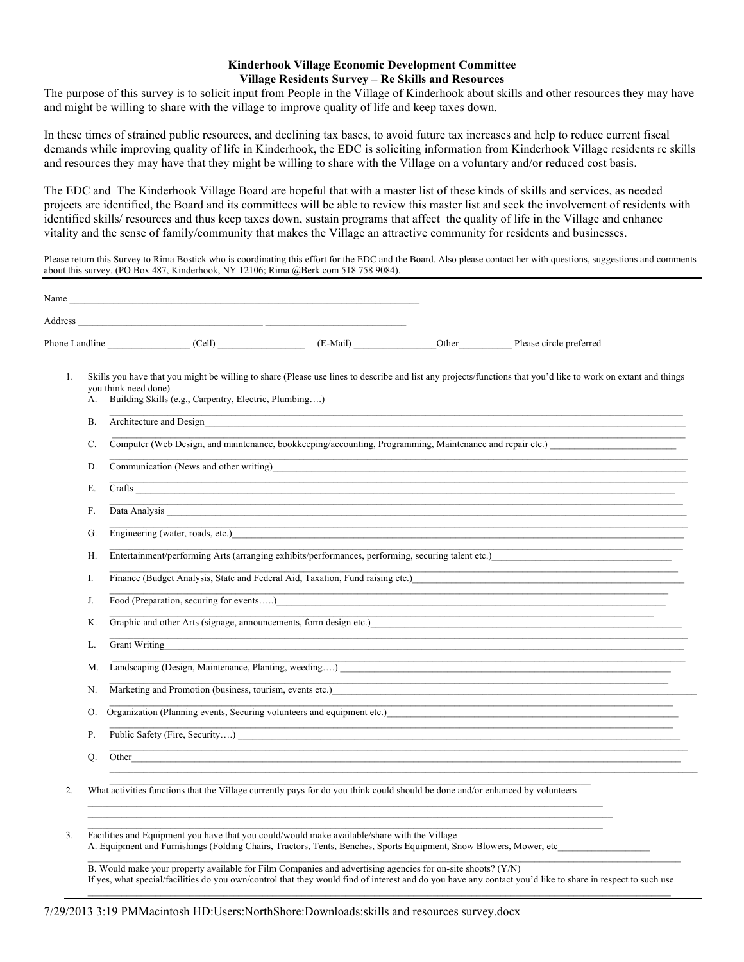## **Kinderhook Village Economic Development Committee Village Residents Survey – Re Skills and Resources**

The purpose of this survey is to solicit input from People in the Village of Kinderhook about skills and other resources they may have and might be willing to share with the village to improve quality of life and keep taxes down.

In these times of strained public resources, and declining tax bases, to avoid future tax increases and help to reduce current fiscal demands while improving quality of life in Kinderhook, the EDC is soliciting information from Kinderhook Village residents re skills and resources they may have that they might be willing to share with the Village on a voluntary and/or reduced cost basis.

The EDC and The Kinderhook Village Board are hopeful that with a master list of these kinds of skills and services, as needed projects are identified, the Board and its committees will be able to review this master list and seek the involvement of residents with identified skills/ resources and thus keep taxes down, sustain programs that affect the quality of life in the Village and enhance vitality and the sense of family/community that makes the Village an attractive community for residents and businesses.

Please return this Survey to Rima Bostick who is coordinating this effort for the EDC and the Board. Also please contact her with questions, suggestions and comments about this survey. (PO Box 487, Kinderhook, NY 12106; Rima @Berk.com 518 758 9084).

|                | Phone Landline (Cell) (Cell) (E-Mail)                                                                                                                                                                                                                                                                                                                     |  |  | Other Please circle preferred                                                                                                                    |
|----------------|-----------------------------------------------------------------------------------------------------------------------------------------------------------------------------------------------------------------------------------------------------------------------------------------------------------------------------------------------------------|--|--|--------------------------------------------------------------------------------------------------------------------------------------------------|
| 1.<br>А.       | Skills you have that you might be willing to share (Please use lines to describe and list any projects/functions that you'd like to work on extant and things<br>you think need done)<br>Building Skills (e.g., Carpentry, Electric, Plumbing)                                                                                                            |  |  |                                                                                                                                                  |
| Β.<br>C.<br>D. | Architecture and Design                                                                                                                                                                                                                                                                                                                                   |  |  |                                                                                                                                                  |
|                | Computer (Web Design, and maintenance, bookkeeping/accounting, Programming, Maintenance and repair etc.)                                                                                                                                                                                                                                                  |  |  |                                                                                                                                                  |
|                | Communication (News and other writing) Communication (News and other writing)                                                                                                                                                                                                                                                                             |  |  |                                                                                                                                                  |
| Ε.             |                                                                                                                                                                                                                                                                                                                                                           |  |  | <u> 1989 - Johann Harry Harry Harry Harry Harry Harry Harry Harry Harry Harry Harry Harry Harry Harry Harry Harry</u><br>Crafts <u>contracts</u> |
| F.             | Data Analysis <u>New York and the Captain Community of the Captain Community of the Captain Community of the Captain Community of the Captain Community of the Captain Community of the Captain Community of the Captain Communi</u>                                                                                                                      |  |  | ,我们也不能在这里的时候,我们也不能在这里的时候,我们也不能会在这里的时候,我们也不能会在这里的时候,我们也不能会在这里的时候,我们也不能会在这里的时候,我们也不                                                                |
| G.             | Engineering (water, roads, etc.)                                                                                                                                                                                                                                                                                                                          |  |  | ,我们也不能在这里的时候,我们也不能在这里的时候,我们也不能会在这里的时候,我们也不能会在这里的时候,我们也不能会在这里的时候,我们也不能会在这里的时候,我们也不                                                                |
| Н.             | Entertainment/performing Arts (arranging exhibits/performances, performing, securing talent etc.)                                                                                                                                                                                                                                                         |  |  |                                                                                                                                                  |
| I.             | Finance (Budget Analysis, State and Federal Aid, Taxation, Fund raising etc.) <b>Example 2014</b><br><u> 1989 - Johann Barn, amerikansk politiker (d. 1989)</u>                                                                                                                                                                                           |  |  |                                                                                                                                                  |
| J.             | Food (Preparation, securing for events) Contact the second section of the second section of the second section of the second section of the second section of the second section of the second section of the second sect<br><u> 1989 - Johann Harry Harry Harry Harry Harry Harry Harry Harry Harry Harry Harry Harry Harry Harry Harry Harry</u>        |  |  |                                                                                                                                                  |
| К.             | Graphic and other Arts (signage, announcements, form design etc.)<br><u> 1980 - John Harry Harry Harry Harry Harry Harry Harry Harry Harry Harry Harry Harry Harry Harry Harry Harry H</u>                                                                                                                                                                |  |  |                                                                                                                                                  |
| L.             | Grant Writing                                                                                                                                                                                                                                                                                                                                             |  |  |                                                                                                                                                  |
| M.             | <u> 1989 - Johann Stoff, amerikansk politiker (d. 1989)</u><br><u> 1989 - Johann Stoff, amerikansk politiker (d. 1989)</u>                                                                                                                                                                                                                                |  |  |                                                                                                                                                  |
| N.             | Marketing and Promotion (business, tourism, events etc.)                                                                                                                                                                                                                                                                                                  |  |  |                                                                                                                                                  |
| О.             | Organization (Planning events, Securing volunteers and equipment etc.) CHA CONSECT AND THE CONSECT AND THE CONSECT AND THE CONSECT AND THE CONSECT AND THE CONSECT AND THE CONSECT AND THE CONSECT AND THE CONSECT AND THE CON<br><u> 1989 - Johann John Stein, markin fan it fjort fan it fjort fan it fjort fan it fjort fan it fjort fan it fjort </u> |  |  |                                                                                                                                                  |
| Ρ.             | Public Safety (Fire, Security)                                                                                                                                                                                                                                                                                                                            |  |  |                                                                                                                                                  |
| О.             | Other <b>Communication Communication Communication Communication Communication Communication Communication</b>                                                                                                                                                                                                                                            |  |  |                                                                                                                                                  |
| 2.             | What activities functions that the Village currently pays for do you think could should be done and/or enhanced by volunteers                                                                                                                                                                                                                             |  |  |                                                                                                                                                  |
|                |                                                                                                                                                                                                                                                                                                                                                           |  |  |                                                                                                                                                  |

B. Would make your property available for Film Companies and advertising agencies for on-site shoots? (Y/N) If yes, what special/facilities do you own/control that they would find of interest and do you have any contact you'd like to share in respect to such use  $\_$  , and the state of the state of the state of the state of the state of the state of the state of the state of the state of the state of the state of the state of the state of the state of the state of the state of the